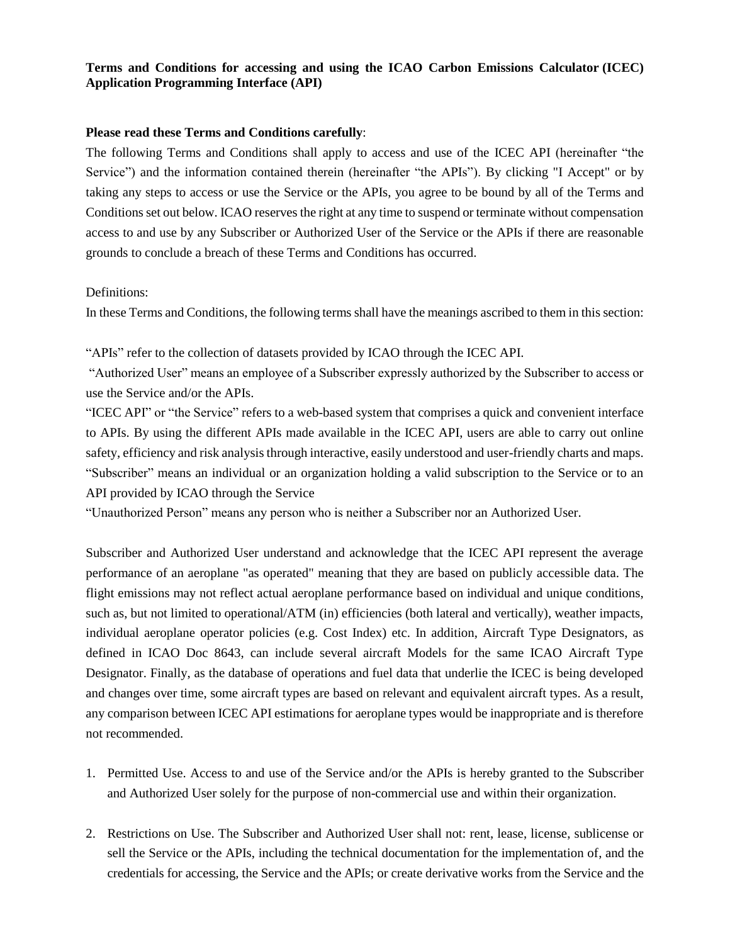## **Terms and Conditions for accessing and using the ICAO Carbon Emissions Calculator (ICEC) Application Programming Interface (API)**

## **Please read these Terms and Conditions carefully**:

The following Terms and Conditions shall apply to access and use of the ICEC API (hereinafter "the Service") and the information contained therein (hereinafter "the APIs"). By clicking "I Accept" or by taking any steps to access or use the Service or the APIs, you agree to be bound by all of the Terms and Conditions set out below. ICAO reserves the right at any time to suspend or terminate without compensation access to and use by any Subscriber or Authorized User of the Service or the APIs if there are reasonable grounds to conclude a breach of these Terms and Conditions has occurred.

## Definitions:

In these Terms and Conditions, the following terms shall have the meanings ascribed to them in this section:

"APIs" refer to the collection of datasets provided by ICAO through the ICEC API.

"Authorized User" means an employee of a Subscriber expressly authorized by the Subscriber to access or use the Service and/or the APIs.

"ICEC API" or "the Service" refers to a web-based system that comprises a quick and convenient interface to APIs. By using the different APIs made available in the ICEC API, users are able to carry out online safety, efficiency and risk analysis through interactive, easily understood and user-friendly charts and maps. "Subscriber" means an individual or an organization holding a valid subscription to the Service or to an API provided by ICAO through the Service

"Unauthorized Person" means any person who is neither a Subscriber nor an Authorized User.

Subscriber and Authorized User understand and acknowledge that the ICEC API represent the average performance of an aeroplane "as operated" meaning that they are based on publicly accessible data. The flight emissions may not reflect actual aeroplane performance based on individual and unique conditions, such as, but not limited to operational/ATM (in) efficiencies (both lateral and vertically), weather impacts, individual aeroplane operator policies (e.g. Cost Index) etc. In addition, Aircraft Type Designators, as defined in ICAO Doc 8643, can include several aircraft Models for the same ICAO Aircraft Type Designator. Finally, as the database of operations and fuel data that underlie the ICEC is being developed and changes over time, some aircraft types are based on relevant and equivalent aircraft types. As a result, any comparison between ICEC API estimations for aeroplane types would be inappropriate and is therefore not recommended.

- 1. Permitted Use. Access to and use of the Service and/or the APIs is hereby granted to the Subscriber and Authorized User solely for the purpose of non-commercial use and within their organization.
- 2. Restrictions on Use. The Subscriber and Authorized User shall not: rent, lease, license, sublicense or sell the Service or the APIs, including the technical documentation for the implementation of, and the credentials for accessing, the Service and the APIs; or create derivative works from the Service and the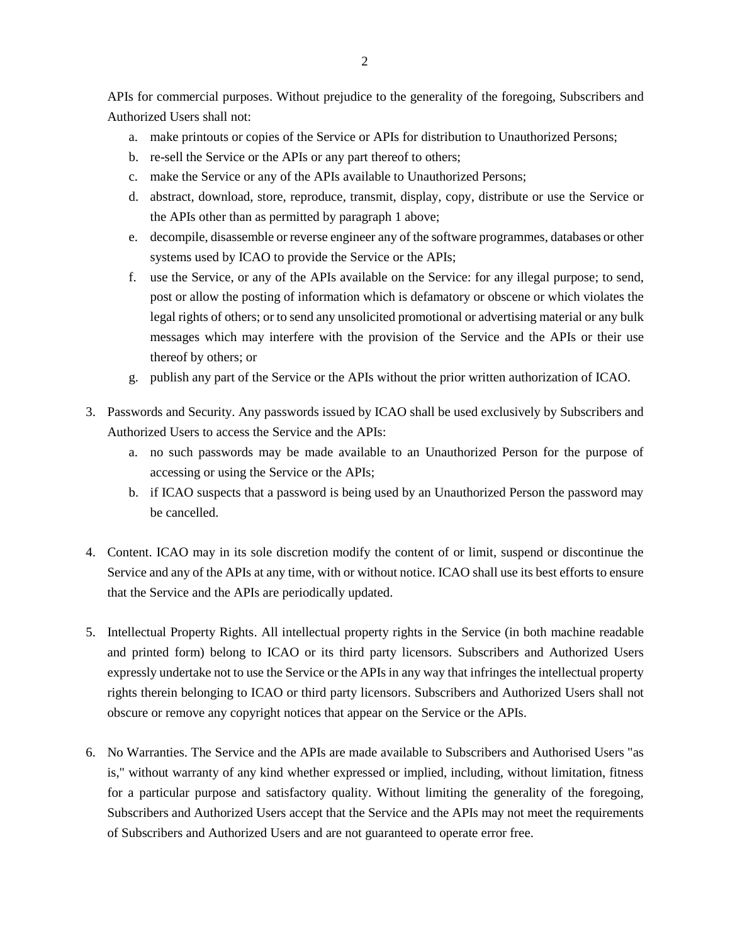APIs for commercial purposes. Without prejudice to the generality of the foregoing, Subscribers and Authorized Users shall not:

- a. make printouts or copies of the Service or APIs for distribution to Unauthorized Persons;
- b. re-sell the Service or the APIs or any part thereof to others;
- c. make the Service or any of the APIs available to Unauthorized Persons;
- d. abstract, download, store, reproduce, transmit, display, copy, distribute or use the Service or the APIs other than as permitted by paragraph 1 above;
- e. decompile, disassemble or reverse engineer any of the software programmes, databases or other systems used by ICAO to provide the Service or the APIs;
- f. use the Service, or any of the APIs available on the Service: for any illegal purpose; to send, post or allow the posting of information which is defamatory or obscene or which violates the legal rights of others; or to send any unsolicited promotional or advertising material or any bulk messages which may interfere with the provision of the Service and the APIs or their use thereof by others; or
- g. publish any part of the Service or the APIs without the prior written authorization of ICAO.
- 3. Passwords and Security. Any passwords issued by ICAO shall be used exclusively by Subscribers and Authorized Users to access the Service and the APIs:
	- a. no such passwords may be made available to an Unauthorized Person for the purpose of accessing or using the Service or the APIs;
	- b. if ICAO suspects that a password is being used by an Unauthorized Person the password may be cancelled.
- 4. Content. ICAO may in its sole discretion modify the content of or limit, suspend or discontinue the Service and any of the APIs at any time, with or without notice. ICAO shall use its best efforts to ensure that the Service and the APIs are periodically updated.
- 5. Intellectual Property Rights. All intellectual property rights in the Service (in both machine readable and printed form) belong to ICAO or its third party licensors. Subscribers and Authorized Users expressly undertake not to use the Service or the APIs in any way that infringes the intellectual property rights therein belonging to ICAO or third party licensors. Subscribers and Authorized Users shall not obscure or remove any copyright notices that appear on the Service or the APIs.
- 6. No Warranties. The Service and the APIs are made available to Subscribers and Authorised Users "as is," without warranty of any kind whether expressed or implied, including, without limitation, fitness for a particular purpose and satisfactory quality. Without limiting the generality of the foregoing, Subscribers and Authorized Users accept that the Service and the APIs may not meet the requirements of Subscribers and Authorized Users and are not guaranteed to operate error free.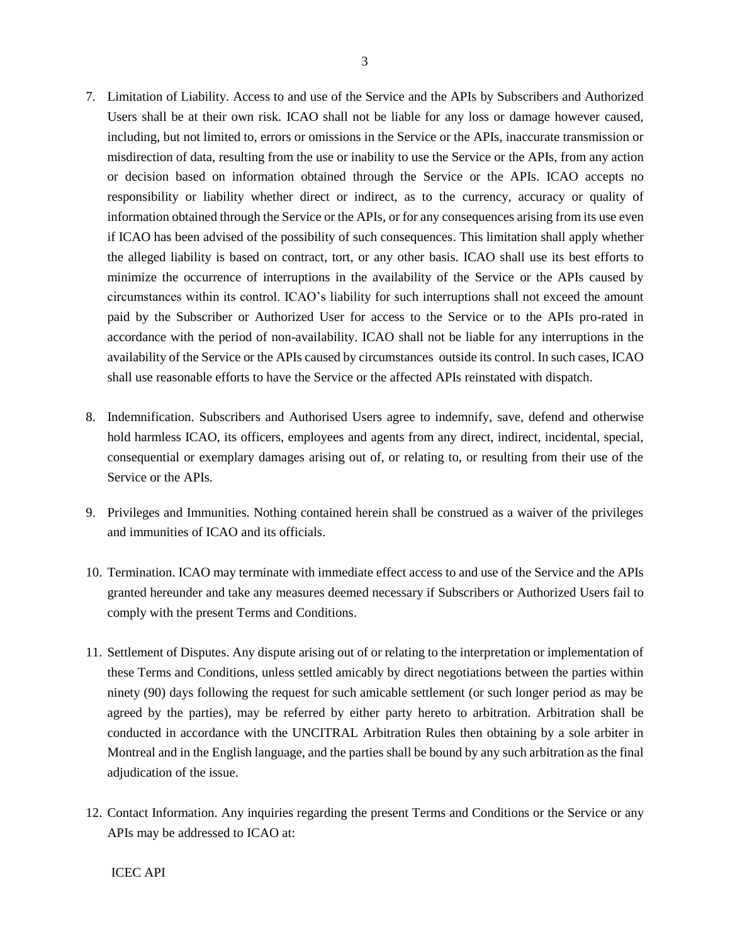- 7. Limitation of Liability. Access to and use of the Service and the APIs by Subscribers and Authorized Users shall be at their own risk. ICAO shall not be liable for any loss or damage however caused, including, but not limited to, errors or omissions in the Service or the APIs, inaccurate transmission or misdirection of data, resulting from the use or inability to use the Service or the APIs, from any action or decision based on information obtained through the Service or the APIs. ICAO accepts no responsibility or liability whether direct or indirect, as to the currency, accuracy or quality of information obtained through the Service or the APIs, or for any consequences arising from its use even if ICAO has been advised of the possibility of such consequences. This limitation shall apply whether the alleged liability is based on contract, tort, or any other basis. ICAO shall use its best efforts to minimize the occurrence of interruptions in the availability of the Service or the APIs caused by circumstances within its control. ICAO's liability for such interruptions shall not exceed the amount paid by the Subscriber or Authorized User for access to the Service or to the APIs pro-rated in accordance with the period of non-availability. ICAO shall not be liable for any interruptions in the availability of the Service or the APIs caused by circumstances outside its control. In such cases, ICAO shall use reasonable efforts to have the Service or the affected APIs reinstated with dispatch.
- 8. Indemnification. Subscribers and Authorised Users agree to indemnify, save, defend and otherwise hold harmless ICAO, its officers, employees and agents from any direct, indirect, incidental, special, consequential or exemplary damages arising out of, or relating to, or resulting from their use of the Service or the APIs.
- 9. Privileges and Immunities. Nothing contained herein shall be construed as a waiver of the privileges and immunities of ICAO and its officials.
- 10. Termination. ICAO may terminate with immediate effect access to and use of the Service and the APIs granted hereunder and take any measures deemed necessary if Subscribers or Authorized Users fail to comply with the present Terms and Conditions.
- 11. Settlement of Disputes. Any dispute arising out of or relating to the interpretation or implementation of these Terms and Conditions, unless settled amicably by direct negotiations between the parties within ninety (90) days following the request for such amicable settlement (or such longer period as may be agreed by the parties), may be referred by either party hereto to arbitration. Arbitration shall be conducted in accordance with the UNCITRAL Arbitration Rules then obtaining by a sole arbiter in Montreal and in the English language, and the parties shall be bound by any such arbitration as the final adjudication of the issue.
- 12. Contact Information. Any inquiries regarding the present Terms and Conditions or the Service or any APIs may be addressed to ICAO at: